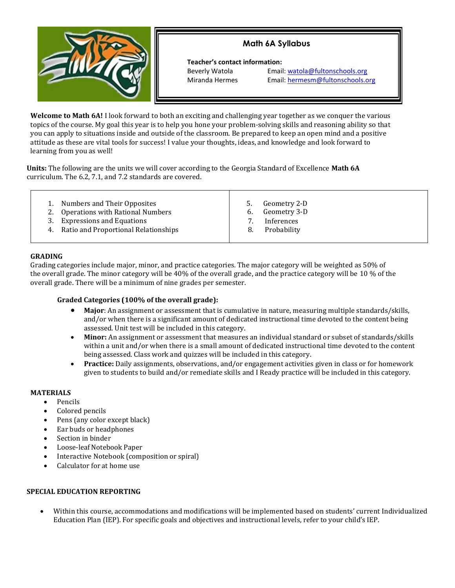# **Math 6A Syllabus**



 **Teacher's contact information:** 

Beverly Watola Email: [watola@fultonschools.org](mailto:watola@fultonschools.org) Miranda Hermes Email: [hermesm@fultonschools.org](mailto:hermesm@fultonschools.org)

**Welcome to Math 6A!** I look forward to both an exciting and challenging year together as we conquer the various topics of the course. My goal this year is to help you hone your problem-solving skills and reasoning ability so that you can apply to situations inside and outside of the classroom. Be prepared to keep an open mind and a positive attitude as these are vital tools for success! I value your thoughts, ideas, and knowledge and look forward to learning from you as well!

**Units:** The following are the units we will cover according to the Georgia Standard of Excellence **Math 6A** curriculum. The 6.2, 7.1, and 7.2 standards are covered.

| Numbers and Their Opposites<br>Geometry 2-D<br>Geometry 3-D<br>2. Operations with Rational Numbers<br>6.<br><b>Expressions and Equations</b><br>3.<br>Inferences<br>Ratio and Proportional Relationships<br>Probability<br>4.<br>8. |  |
|-------------------------------------------------------------------------------------------------------------------------------------------------------------------------------------------------------------------------------------|--|
|-------------------------------------------------------------------------------------------------------------------------------------------------------------------------------------------------------------------------------------|--|

# **GRADING**

Grading categories include major, minor, and practice categories. The major category will be weighted as 50% of the overall grade. The minor category will be 40% of the overall grade, and the practice category will be 10 % of the overall grade. There will be a minimum of nine grades per semester.

# **Graded Categories (100% of the overall grade):**

- **Major**: An assignment or assessment that is cumulative in nature, measuring multiple standards/skills, and/or when there is a significant amount of dedicated instructional time devoted to the content being assessed. Unit test will be included in this category.
- **Minor:** An assignment or assessment that measures an individual standard or subset of standards/skills within a unit and/or when there is a small amount of dedicated instructional time devoted to the content being assessed. Class work and quizzes will be included in this category.
- **Practice:** Daily assignments, observations, and/or engagement activities given in class or for homework given to students to build and/or remediate skills and I Ready practice will be included in this category.

#### **MATERIALS**

- Pencils
- Colored pencils
- Pens (any color except black)
- Ear buds or headphones
- Section in binder
- Loose-leaf Notebook Paper
- Interactive Notebook (composition or spiral)
- Calculator for at home use

#### **SPECIAL EDUCATION REPORTING**

• Within this course, accommodations and modifications will be implemented based on students' current Individualized Education Plan (IEP). For specific goals and objectives and instructional levels, refer to your child's IEP.